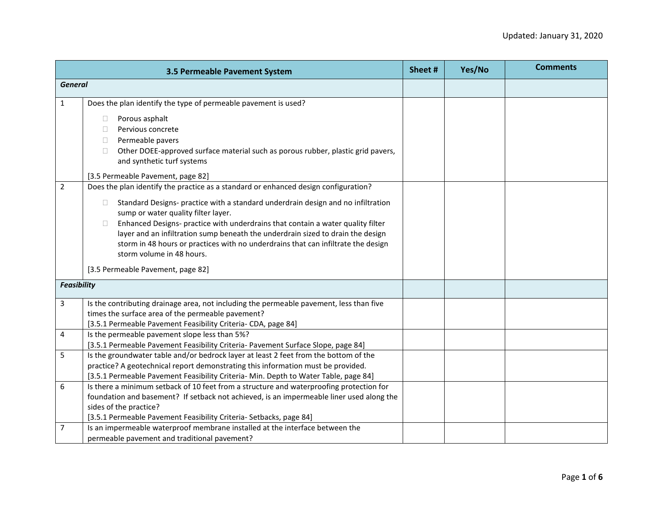|                    | 3.5 Permeable Pavement System                                                                                                                                                                                                                                                                                                                                                                                                                                                                                                                                   | Sheet # | Yes/No | <b>Comments</b> |
|--------------------|-----------------------------------------------------------------------------------------------------------------------------------------------------------------------------------------------------------------------------------------------------------------------------------------------------------------------------------------------------------------------------------------------------------------------------------------------------------------------------------------------------------------------------------------------------------------|---------|--------|-----------------|
| <b>General</b>     |                                                                                                                                                                                                                                                                                                                                                                                                                                                                                                                                                                 |         |        |                 |
| $\mathbf{1}$       | Does the plan identify the type of permeable pavement is used?                                                                                                                                                                                                                                                                                                                                                                                                                                                                                                  |         |        |                 |
|                    | Porous asphalt<br>П.<br>Pervious concrete<br>$\Box$<br>Permeable pavers<br>$\Box$<br>Other DOEE-approved surface material such as porous rubber, plastic grid pavers,<br>$\Box$<br>and synthetic turf systems                                                                                                                                                                                                                                                                                                                                                   |         |        |                 |
|                    | [3.5 Permeable Pavement, page 82]                                                                                                                                                                                                                                                                                                                                                                                                                                                                                                                               |         |        |                 |
| $\overline{2}$     | Does the plan identify the practice as a standard or enhanced design configuration?<br>Standard Designs- practice with a standard underdrain design and no infiltration<br>$\Box$<br>sump or water quality filter layer.<br>Enhanced Designs- practice with underdrains that contain a water quality filter<br>$\Box$<br>layer and an infiltration sump beneath the underdrain sized to drain the design<br>storm in 48 hours or practices with no underdrains that can infiltrate the design<br>storm volume in 48 hours.<br>[3.5 Permeable Pavement, page 82] |         |        |                 |
| <b>Feasibility</b> |                                                                                                                                                                                                                                                                                                                                                                                                                                                                                                                                                                 |         |        |                 |
|                    |                                                                                                                                                                                                                                                                                                                                                                                                                                                                                                                                                                 |         |        |                 |
| 3                  | Is the contributing drainage area, not including the permeable pavement, less than five<br>times the surface area of the permeable pavement?<br>[3.5.1 Permeable Pavement Feasibility Criteria- CDA, page 84]                                                                                                                                                                                                                                                                                                                                                   |         |        |                 |
| $\overline{4}$     | Is the permeable pavement slope less than 5%?<br>[3.5.1 Permeable Pavement Feasibility Criteria- Pavement Surface Slope, page 84]                                                                                                                                                                                                                                                                                                                                                                                                                               |         |        |                 |
| 5                  | Is the groundwater table and/or bedrock layer at least 2 feet from the bottom of the<br>practice? A geotechnical report demonstrating this information must be provided.<br>[3.5.1 Permeable Pavement Feasibility Criteria- Min. Depth to Water Table, page 84]                                                                                                                                                                                                                                                                                                 |         |        |                 |
| 6                  | Is there a minimum setback of 10 feet from a structure and waterproofing protection for<br>foundation and basement? If setback not achieved, is an impermeable liner used along the<br>sides of the practice?<br>[3.5.1 Permeable Pavement Feasibility Criteria- Setbacks, page 84]                                                                                                                                                                                                                                                                             |         |        |                 |
| $\overline{7}$     | Is an impermeable waterproof membrane installed at the interface between the<br>permeable pavement and traditional pavement?                                                                                                                                                                                                                                                                                                                                                                                                                                    |         |        |                 |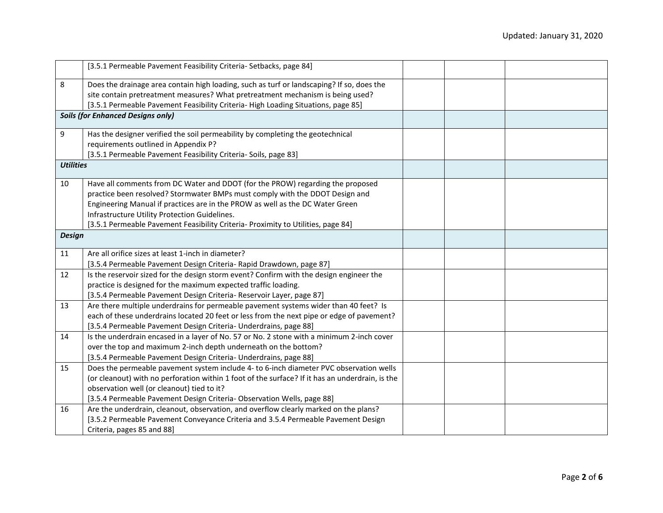| [3.5.1 Permeable Pavement Feasibility Criteria- Setbacks, page 84]<br>8<br>Does the drainage area contain high loading, such as turf or landscaping? If so, does the<br>site contain pretreatment measures? What pretreatment mechanism is being used?<br>[3.5.1 Permeable Pavement Feasibility Criteria- High Loading Situations, page 85]<br><b>Soils (for Enhanced Designs only)</b><br>9<br>Has the designer verified the soil permeability by completing the geotechnical<br>requirements outlined in Appendix P?<br>[3.5.1 Permeable Pavement Feasibility Criteria- Soils, page 83]<br><b>Utilities</b><br>Have all comments from DC Water and DDOT (for the PROW) regarding the proposed<br>10<br>practice been resolved? Stormwater BMPs must comply with the DDOT Design and<br>Engineering Manual if practices are in the PROW as well as the DC Water Green<br>Infrastructure Utility Protection Guidelines.<br>[3.5.1 Permeable Pavement Feasibility Criteria- Proximity to Utilities, page 84]<br><b>Design</b><br>Are all orifice sizes at least 1-inch in diameter?<br>11<br>[3.5.4 Permeable Pavement Design Criteria- Rapid Drawdown, page 87]<br>Is the reservoir sized for the design storm event? Confirm with the design engineer the<br>12<br>practice is designed for the maximum expected traffic loading.<br>[3.5.4 Permeable Pavement Design Criteria- Reservoir Layer, page 87]<br>Are there multiple underdrains for permeable pavement systems wider than 40 feet? Is<br>13<br>each of these underdrains located 20 feet or less from the next pipe or edge of pavement?<br>[3.5.4 Permeable Pavement Design Criteria- Underdrains, page 88]<br>Is the underdrain encased in a layer of No. 57 or No. 2 stone with a minimum 2-inch cover<br>14<br>over the top and maximum 2-inch depth underneath on the bottom?<br>[3.5.4 Permeable Pavement Design Criteria- Underdrains, page 88]<br>Does the permeable pavement system include 4- to 6-inch diameter PVC observation wells<br>15<br>(or cleanout) with no perforation within 1 foot of the surface? If it has an underdrain, is the<br>observation well (or cleanout) tied to it?<br>[3.5.4 Permeable Pavement Design Criteria- Observation Wells, page 88]<br>Are the underdrain, cleanout, observation, and overflow clearly marked on the plans?<br>16<br>[3.5.2 Permeable Pavement Conveyance Criteria and 3.5.4 Permeable Pavement Design<br>Criteria, pages 85 and 88] |  |  |  |
|-----------------------------------------------------------------------------------------------------------------------------------------------------------------------------------------------------------------------------------------------------------------------------------------------------------------------------------------------------------------------------------------------------------------------------------------------------------------------------------------------------------------------------------------------------------------------------------------------------------------------------------------------------------------------------------------------------------------------------------------------------------------------------------------------------------------------------------------------------------------------------------------------------------------------------------------------------------------------------------------------------------------------------------------------------------------------------------------------------------------------------------------------------------------------------------------------------------------------------------------------------------------------------------------------------------------------------------------------------------------------------------------------------------------------------------------------------------------------------------------------------------------------------------------------------------------------------------------------------------------------------------------------------------------------------------------------------------------------------------------------------------------------------------------------------------------------------------------------------------------------------------------------------------------------------------------------------------------------------------------------------------------------------------------------------------------------------------------------------------------------------------------------------------------------------------------------------------------------------------------------------------------------------------------------------------------------------------------------------------------------------------------------------------------------------------------------------------------|--|--|--|
|                                                                                                                                                                                                                                                                                                                                                                                                                                                                                                                                                                                                                                                                                                                                                                                                                                                                                                                                                                                                                                                                                                                                                                                                                                                                                                                                                                                                                                                                                                                                                                                                                                                                                                                                                                                                                                                                                                                                                                                                                                                                                                                                                                                                                                                                                                                                                                                                                                                                 |  |  |  |
|                                                                                                                                                                                                                                                                                                                                                                                                                                                                                                                                                                                                                                                                                                                                                                                                                                                                                                                                                                                                                                                                                                                                                                                                                                                                                                                                                                                                                                                                                                                                                                                                                                                                                                                                                                                                                                                                                                                                                                                                                                                                                                                                                                                                                                                                                                                                                                                                                                                                 |  |  |  |
|                                                                                                                                                                                                                                                                                                                                                                                                                                                                                                                                                                                                                                                                                                                                                                                                                                                                                                                                                                                                                                                                                                                                                                                                                                                                                                                                                                                                                                                                                                                                                                                                                                                                                                                                                                                                                                                                                                                                                                                                                                                                                                                                                                                                                                                                                                                                                                                                                                                                 |  |  |  |
|                                                                                                                                                                                                                                                                                                                                                                                                                                                                                                                                                                                                                                                                                                                                                                                                                                                                                                                                                                                                                                                                                                                                                                                                                                                                                                                                                                                                                                                                                                                                                                                                                                                                                                                                                                                                                                                                                                                                                                                                                                                                                                                                                                                                                                                                                                                                                                                                                                                                 |  |  |  |
|                                                                                                                                                                                                                                                                                                                                                                                                                                                                                                                                                                                                                                                                                                                                                                                                                                                                                                                                                                                                                                                                                                                                                                                                                                                                                                                                                                                                                                                                                                                                                                                                                                                                                                                                                                                                                                                                                                                                                                                                                                                                                                                                                                                                                                                                                                                                                                                                                                                                 |  |  |  |
|                                                                                                                                                                                                                                                                                                                                                                                                                                                                                                                                                                                                                                                                                                                                                                                                                                                                                                                                                                                                                                                                                                                                                                                                                                                                                                                                                                                                                                                                                                                                                                                                                                                                                                                                                                                                                                                                                                                                                                                                                                                                                                                                                                                                                                                                                                                                                                                                                                                                 |  |  |  |
|                                                                                                                                                                                                                                                                                                                                                                                                                                                                                                                                                                                                                                                                                                                                                                                                                                                                                                                                                                                                                                                                                                                                                                                                                                                                                                                                                                                                                                                                                                                                                                                                                                                                                                                                                                                                                                                                                                                                                                                                                                                                                                                                                                                                                                                                                                                                                                                                                                                                 |  |  |  |
|                                                                                                                                                                                                                                                                                                                                                                                                                                                                                                                                                                                                                                                                                                                                                                                                                                                                                                                                                                                                                                                                                                                                                                                                                                                                                                                                                                                                                                                                                                                                                                                                                                                                                                                                                                                                                                                                                                                                                                                                                                                                                                                                                                                                                                                                                                                                                                                                                                                                 |  |  |  |
|                                                                                                                                                                                                                                                                                                                                                                                                                                                                                                                                                                                                                                                                                                                                                                                                                                                                                                                                                                                                                                                                                                                                                                                                                                                                                                                                                                                                                                                                                                                                                                                                                                                                                                                                                                                                                                                                                                                                                                                                                                                                                                                                                                                                                                                                                                                                                                                                                                                                 |  |  |  |
|                                                                                                                                                                                                                                                                                                                                                                                                                                                                                                                                                                                                                                                                                                                                                                                                                                                                                                                                                                                                                                                                                                                                                                                                                                                                                                                                                                                                                                                                                                                                                                                                                                                                                                                                                                                                                                                                                                                                                                                                                                                                                                                                                                                                                                                                                                                                                                                                                                                                 |  |  |  |
|                                                                                                                                                                                                                                                                                                                                                                                                                                                                                                                                                                                                                                                                                                                                                                                                                                                                                                                                                                                                                                                                                                                                                                                                                                                                                                                                                                                                                                                                                                                                                                                                                                                                                                                                                                                                                                                                                                                                                                                                                                                                                                                                                                                                                                                                                                                                                                                                                                                                 |  |  |  |
|                                                                                                                                                                                                                                                                                                                                                                                                                                                                                                                                                                                                                                                                                                                                                                                                                                                                                                                                                                                                                                                                                                                                                                                                                                                                                                                                                                                                                                                                                                                                                                                                                                                                                                                                                                                                                                                                                                                                                                                                                                                                                                                                                                                                                                                                                                                                                                                                                                                                 |  |  |  |
|                                                                                                                                                                                                                                                                                                                                                                                                                                                                                                                                                                                                                                                                                                                                                                                                                                                                                                                                                                                                                                                                                                                                                                                                                                                                                                                                                                                                                                                                                                                                                                                                                                                                                                                                                                                                                                                                                                                                                                                                                                                                                                                                                                                                                                                                                                                                                                                                                                                                 |  |  |  |
|                                                                                                                                                                                                                                                                                                                                                                                                                                                                                                                                                                                                                                                                                                                                                                                                                                                                                                                                                                                                                                                                                                                                                                                                                                                                                                                                                                                                                                                                                                                                                                                                                                                                                                                                                                                                                                                                                                                                                                                                                                                                                                                                                                                                                                                                                                                                                                                                                                                                 |  |  |  |
|                                                                                                                                                                                                                                                                                                                                                                                                                                                                                                                                                                                                                                                                                                                                                                                                                                                                                                                                                                                                                                                                                                                                                                                                                                                                                                                                                                                                                                                                                                                                                                                                                                                                                                                                                                                                                                                                                                                                                                                                                                                                                                                                                                                                                                                                                                                                                                                                                                                                 |  |  |  |
|                                                                                                                                                                                                                                                                                                                                                                                                                                                                                                                                                                                                                                                                                                                                                                                                                                                                                                                                                                                                                                                                                                                                                                                                                                                                                                                                                                                                                                                                                                                                                                                                                                                                                                                                                                                                                                                                                                                                                                                                                                                                                                                                                                                                                                                                                                                                                                                                                                                                 |  |  |  |
|                                                                                                                                                                                                                                                                                                                                                                                                                                                                                                                                                                                                                                                                                                                                                                                                                                                                                                                                                                                                                                                                                                                                                                                                                                                                                                                                                                                                                                                                                                                                                                                                                                                                                                                                                                                                                                                                                                                                                                                                                                                                                                                                                                                                                                                                                                                                                                                                                                                                 |  |  |  |
|                                                                                                                                                                                                                                                                                                                                                                                                                                                                                                                                                                                                                                                                                                                                                                                                                                                                                                                                                                                                                                                                                                                                                                                                                                                                                                                                                                                                                                                                                                                                                                                                                                                                                                                                                                                                                                                                                                                                                                                                                                                                                                                                                                                                                                                                                                                                                                                                                                                                 |  |  |  |
|                                                                                                                                                                                                                                                                                                                                                                                                                                                                                                                                                                                                                                                                                                                                                                                                                                                                                                                                                                                                                                                                                                                                                                                                                                                                                                                                                                                                                                                                                                                                                                                                                                                                                                                                                                                                                                                                                                                                                                                                                                                                                                                                                                                                                                                                                                                                                                                                                                                                 |  |  |  |
|                                                                                                                                                                                                                                                                                                                                                                                                                                                                                                                                                                                                                                                                                                                                                                                                                                                                                                                                                                                                                                                                                                                                                                                                                                                                                                                                                                                                                                                                                                                                                                                                                                                                                                                                                                                                                                                                                                                                                                                                                                                                                                                                                                                                                                                                                                                                                                                                                                                                 |  |  |  |
|                                                                                                                                                                                                                                                                                                                                                                                                                                                                                                                                                                                                                                                                                                                                                                                                                                                                                                                                                                                                                                                                                                                                                                                                                                                                                                                                                                                                                                                                                                                                                                                                                                                                                                                                                                                                                                                                                                                                                                                                                                                                                                                                                                                                                                                                                                                                                                                                                                                                 |  |  |  |
|                                                                                                                                                                                                                                                                                                                                                                                                                                                                                                                                                                                                                                                                                                                                                                                                                                                                                                                                                                                                                                                                                                                                                                                                                                                                                                                                                                                                                                                                                                                                                                                                                                                                                                                                                                                                                                                                                                                                                                                                                                                                                                                                                                                                                                                                                                                                                                                                                                                                 |  |  |  |
|                                                                                                                                                                                                                                                                                                                                                                                                                                                                                                                                                                                                                                                                                                                                                                                                                                                                                                                                                                                                                                                                                                                                                                                                                                                                                                                                                                                                                                                                                                                                                                                                                                                                                                                                                                                                                                                                                                                                                                                                                                                                                                                                                                                                                                                                                                                                                                                                                                                                 |  |  |  |
|                                                                                                                                                                                                                                                                                                                                                                                                                                                                                                                                                                                                                                                                                                                                                                                                                                                                                                                                                                                                                                                                                                                                                                                                                                                                                                                                                                                                                                                                                                                                                                                                                                                                                                                                                                                                                                                                                                                                                                                                                                                                                                                                                                                                                                                                                                                                                                                                                                                                 |  |  |  |
|                                                                                                                                                                                                                                                                                                                                                                                                                                                                                                                                                                                                                                                                                                                                                                                                                                                                                                                                                                                                                                                                                                                                                                                                                                                                                                                                                                                                                                                                                                                                                                                                                                                                                                                                                                                                                                                                                                                                                                                                                                                                                                                                                                                                                                                                                                                                                                                                                                                                 |  |  |  |
|                                                                                                                                                                                                                                                                                                                                                                                                                                                                                                                                                                                                                                                                                                                                                                                                                                                                                                                                                                                                                                                                                                                                                                                                                                                                                                                                                                                                                                                                                                                                                                                                                                                                                                                                                                                                                                                                                                                                                                                                                                                                                                                                                                                                                                                                                                                                                                                                                                                                 |  |  |  |
|                                                                                                                                                                                                                                                                                                                                                                                                                                                                                                                                                                                                                                                                                                                                                                                                                                                                                                                                                                                                                                                                                                                                                                                                                                                                                                                                                                                                                                                                                                                                                                                                                                                                                                                                                                                                                                                                                                                                                                                                                                                                                                                                                                                                                                                                                                                                                                                                                                                                 |  |  |  |
|                                                                                                                                                                                                                                                                                                                                                                                                                                                                                                                                                                                                                                                                                                                                                                                                                                                                                                                                                                                                                                                                                                                                                                                                                                                                                                                                                                                                                                                                                                                                                                                                                                                                                                                                                                                                                                                                                                                                                                                                                                                                                                                                                                                                                                                                                                                                                                                                                                                                 |  |  |  |
|                                                                                                                                                                                                                                                                                                                                                                                                                                                                                                                                                                                                                                                                                                                                                                                                                                                                                                                                                                                                                                                                                                                                                                                                                                                                                                                                                                                                                                                                                                                                                                                                                                                                                                                                                                                                                                                                                                                                                                                                                                                                                                                                                                                                                                                                                                                                                                                                                                                                 |  |  |  |
|                                                                                                                                                                                                                                                                                                                                                                                                                                                                                                                                                                                                                                                                                                                                                                                                                                                                                                                                                                                                                                                                                                                                                                                                                                                                                                                                                                                                                                                                                                                                                                                                                                                                                                                                                                                                                                                                                                                                                                                                                                                                                                                                                                                                                                                                                                                                                                                                                                                                 |  |  |  |
|                                                                                                                                                                                                                                                                                                                                                                                                                                                                                                                                                                                                                                                                                                                                                                                                                                                                                                                                                                                                                                                                                                                                                                                                                                                                                                                                                                                                                                                                                                                                                                                                                                                                                                                                                                                                                                                                                                                                                                                                                                                                                                                                                                                                                                                                                                                                                                                                                                                                 |  |  |  |
|                                                                                                                                                                                                                                                                                                                                                                                                                                                                                                                                                                                                                                                                                                                                                                                                                                                                                                                                                                                                                                                                                                                                                                                                                                                                                                                                                                                                                                                                                                                                                                                                                                                                                                                                                                                                                                                                                                                                                                                                                                                                                                                                                                                                                                                                                                                                                                                                                                                                 |  |  |  |
|                                                                                                                                                                                                                                                                                                                                                                                                                                                                                                                                                                                                                                                                                                                                                                                                                                                                                                                                                                                                                                                                                                                                                                                                                                                                                                                                                                                                                                                                                                                                                                                                                                                                                                                                                                                                                                                                                                                                                                                                                                                                                                                                                                                                                                                                                                                                                                                                                                                                 |  |  |  |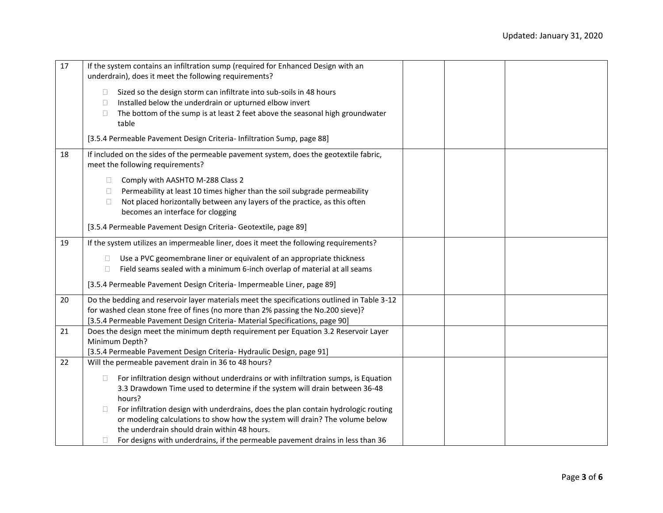| 17 | If the system contains an infiltration sump (required for Enhanced Design with an<br>underdrain), does it meet the following requirements?                                 |
|----|----------------------------------------------------------------------------------------------------------------------------------------------------------------------------|
|    | Sized so the design storm can infiltrate into sub-soils in 48 hours<br>$\Box$<br>Installed below the underdrain or upturned elbow invert<br>$\Box$                         |
|    | The bottom of the sump is at least 2 feet above the seasonal high groundwater<br>□<br>table                                                                                |
|    | [3.5.4 Permeable Pavement Design Criteria- Infiltration Sump, page 88]                                                                                                     |
| 18 | If included on the sides of the permeable pavement system, does the geotextile fabric,<br>meet the following requirements?                                                 |
|    | Comply with AASHTO M-288 Class 2<br>$\Box$                                                                                                                                 |
|    | Permeability at least 10 times higher than the soil subgrade permeability<br>$\Box$<br>Not placed horizontally between any layers of the practice, as this often<br>$\Box$ |
|    | becomes an interface for clogging                                                                                                                                          |
|    | [3.5.4 Permeable Pavement Design Criteria- Geotextile, page 89]                                                                                                            |
| 19 | If the system utilizes an impermeable liner, does it meet the following requirements?                                                                                      |
|    | Use a PVC geomembrane liner or equivalent of an appropriate thickness<br>$\Box$                                                                                            |
|    | Field seams sealed with a minimum 6-inch overlap of material at all seams<br>$\Box$                                                                                        |
|    | [3.5.4 Permeable Pavement Design Criteria- Impermeable Liner, page 89]                                                                                                     |
| 20 | Do the bedding and reservoir layer materials meet the specifications outlined in Table 3-12                                                                                |
|    | for washed clean stone free of fines (no more than 2% passing the No.200 sieve)?<br>[3.5.4 Permeable Pavement Design Criteria- Material Specifications, page 90]           |
| 21 | Does the design meet the minimum depth requirement per Equation 3.2 Reservoir Layer                                                                                        |
|    | Minimum Depth?                                                                                                                                                             |
|    | [3.5.4 Permeable Pavement Design Criteria- Hydraulic Design, page 91]                                                                                                      |
| 22 | Will the permeable pavement drain in 36 to 48 hours?                                                                                                                       |
|    | For infiltration design without underdrains or with infiltration sumps, is Equation<br>$\Box$                                                                              |
|    | 3.3 Drawdown Time used to determine if the system will drain between 36-48<br>hours?                                                                                       |
|    | For infiltration design with underdrains, does the plan contain hydrologic routing<br>П                                                                                    |
|    | or modeling calculations to show how the system will drain? The volume below                                                                                               |
|    | the underdrain should drain within 48 hours.                                                                                                                               |
|    | For designs with underdrains, if the permeable pavement drains in less than 36                                                                                             |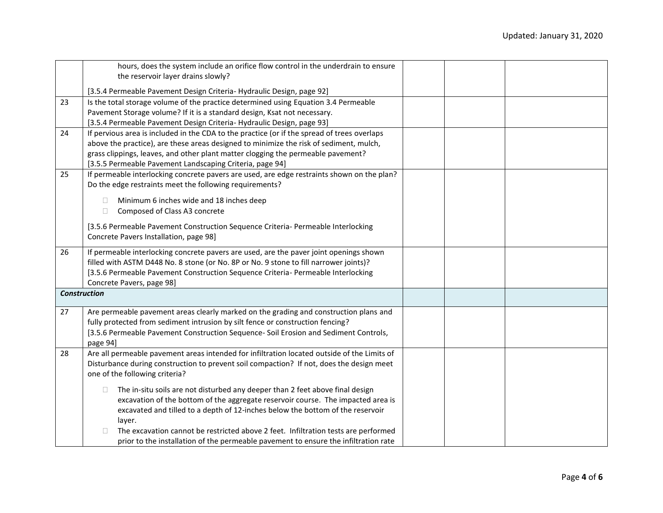|    | hours, does the system include an orifice flow control in the underdrain to ensure          |  |  |
|----|---------------------------------------------------------------------------------------------|--|--|
|    | the reservoir layer drains slowly?                                                          |  |  |
|    |                                                                                             |  |  |
|    | [3.5.4 Permeable Pavement Design Criteria- Hydraulic Design, page 92]                       |  |  |
| 23 | Is the total storage volume of the practice determined using Equation 3.4 Permeable         |  |  |
|    | Pavement Storage volume? If it is a standard design, Ksat not necessary.                    |  |  |
|    | [3.5.4 Permeable Pavement Design Criteria- Hydraulic Design, page 93]                       |  |  |
| 24 | If pervious area is included in the CDA to the practice (or if the spread of trees overlaps |  |  |
|    | above the practice), are these areas designed to minimize the risk of sediment, mulch,      |  |  |
|    | grass clippings, leaves, and other plant matter clogging the permeable pavement?            |  |  |
|    | [3.5.5 Permeable Pavement Landscaping Criteria, page 94]                                    |  |  |
| 25 | If permeable interlocking concrete pavers are used, are edge restraints shown on the plan?  |  |  |
|    | Do the edge restraints meet the following requirements?                                     |  |  |
|    |                                                                                             |  |  |
|    | Minimum 6 inches wide and 18 inches deep<br>n.                                              |  |  |
|    | Composed of Class A3 concrete<br>$\Box$                                                     |  |  |
|    |                                                                                             |  |  |
|    | [3.5.6 Permeable Pavement Construction Sequence Criteria- Permeable Interlocking            |  |  |
|    | Concrete Pavers Installation, page 98]                                                      |  |  |
| 26 | If permeable interlocking concrete pavers are used, are the paver joint openings shown      |  |  |
|    | filled with ASTM D448 No. 8 stone (or No. 8P or No. 9 stone to fill narrower joints)?       |  |  |
|    | [3.5.6 Permeable Pavement Construction Sequence Criteria- Permeable Interlocking            |  |  |
|    |                                                                                             |  |  |
|    | Concrete Pavers, page 98]                                                                   |  |  |
|    | <b>Construction</b>                                                                         |  |  |
| 27 | Are permeable pavement areas clearly marked on the grading and construction plans and       |  |  |
|    |                                                                                             |  |  |
|    | fully protected from sediment intrusion by silt fence or construction fencing?              |  |  |
|    | [3.5.6 Permeable Pavement Construction Sequence- Soil Erosion and Sediment Controls,        |  |  |
|    | page 94]                                                                                    |  |  |
| 28 | Are all permeable pavement areas intended for infiltration located outside of the Limits of |  |  |
|    | Disturbance during construction to prevent soil compaction? If not, does the design meet    |  |  |
|    | one of the following criteria?                                                              |  |  |
|    |                                                                                             |  |  |
|    | The in-situ soils are not disturbed any deeper than 2 feet above final design<br>$\Box$     |  |  |
|    | excavation of the bottom of the aggregate reservoir course. The impacted area is            |  |  |
|    | excavated and tilled to a depth of 12-inches below the bottom of the reservoir              |  |  |
|    | layer.                                                                                      |  |  |
|    | The excavation cannot be restricted above 2 feet. Infiltration tests are performed          |  |  |
|    | prior to the installation of the permeable pavement to ensure the infiltration rate         |  |  |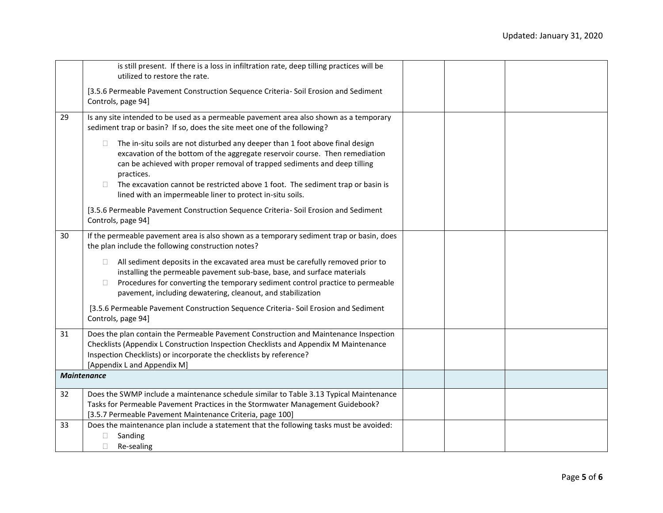|    | is still present. If there is a loss in infiltration rate, deep tilling practices will be<br>utilized to restore the rate.                                                                                                                                                                                                                                                                                         |  |  |
|----|--------------------------------------------------------------------------------------------------------------------------------------------------------------------------------------------------------------------------------------------------------------------------------------------------------------------------------------------------------------------------------------------------------------------|--|--|
|    | [3.5.6 Permeable Pavement Construction Sequence Criteria- Soil Erosion and Sediment<br>Controls, page 94]                                                                                                                                                                                                                                                                                                          |  |  |
| 29 | Is any site intended to be used as a permeable pavement area also shown as a temporary<br>sediment trap or basin? If so, does the site meet one of the following?                                                                                                                                                                                                                                                  |  |  |
|    | The in-situ soils are not disturbed any deeper than 1 foot above final design<br>□<br>excavation of the bottom of the aggregate reservoir course. Then remediation<br>can be achieved with proper removal of trapped sediments and deep tilling<br>practices.<br>The excavation cannot be restricted above 1 foot. The sediment trap or basin is<br>П<br>lined with an impermeable liner to protect in-situ soils. |  |  |
|    | [3.5.6 Permeable Pavement Construction Sequence Criteria- Soil Erosion and Sediment<br>Controls, page 94]                                                                                                                                                                                                                                                                                                          |  |  |
| 30 | If the permeable pavement area is also shown as a temporary sediment trap or basin, does<br>the plan include the following construction notes?                                                                                                                                                                                                                                                                     |  |  |
|    | All sediment deposits in the excavated area must be carefully removed prior to<br>0<br>installing the permeable pavement sub-base, base, and surface materials<br>Procedures for converting the temporary sediment control practice to permeable<br>0<br>pavement, including dewatering, cleanout, and stabilization                                                                                               |  |  |
|    | [3.5.6 Permeable Pavement Construction Sequence Criteria- Soil Erosion and Sediment<br>Controls, page 94]                                                                                                                                                                                                                                                                                                          |  |  |
| 31 | Does the plan contain the Permeable Pavement Construction and Maintenance Inspection<br>Checklists (Appendix L Construction Inspection Checklists and Appendix M Maintenance<br>Inspection Checklists) or incorporate the checklists by reference?<br>[Appendix L and Appendix M]                                                                                                                                  |  |  |
|    | <b>Maintenance</b>                                                                                                                                                                                                                                                                                                                                                                                                 |  |  |
| 32 | Does the SWMP include a maintenance schedule similar to Table 3.13 Typical Maintenance<br>Tasks for Permeable Pavement Practices in the Stormwater Management Guidebook?<br>[3.5.7 Permeable Pavement Maintenance Criteria, page 100]                                                                                                                                                                              |  |  |
| 33 | Does the maintenance plan include a statement that the following tasks must be avoided:<br>Sanding<br>$\Box$<br>$\Box$<br>Re-sealing                                                                                                                                                                                                                                                                               |  |  |